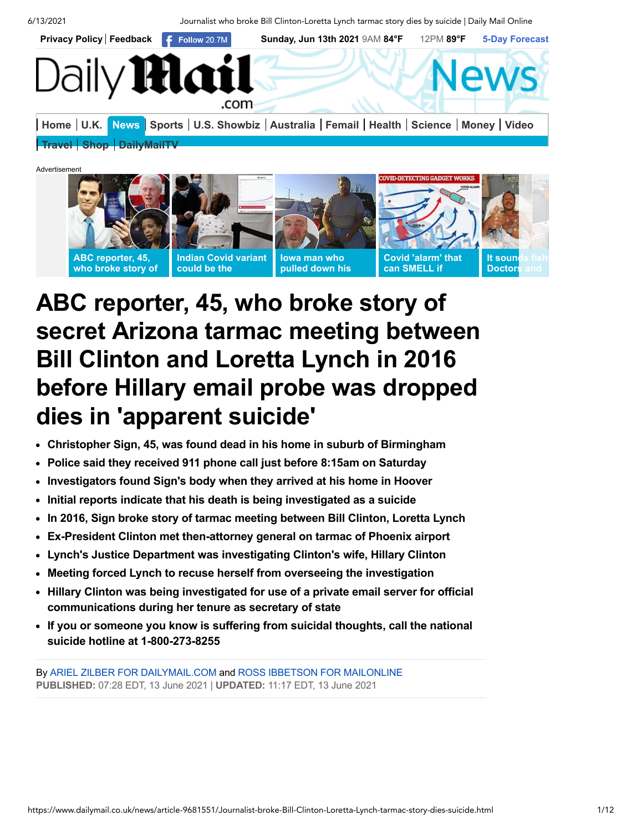

**ABC [reporter,](https://www.dailymail.co.uk/news/article-9681551/Journalist-broke-Bill-Clinton-Loretta-Lynch-tarmac-story-dies-suicide.html#) 45, who broke story of**

6/13/2021 Journalist who broke Bill Clinton-Loretta Lynch tarmac story dies by suicide | Daily Mail Online



**Iowa man who pulled down his** **Covid 'alarm' that can SMELL if**

**If** sour **Doctors** 

**ABC reporter, 45, who broke story of secret Arizona tarmac meeting between Bill Clinton and Loretta Lynch in 2016 before Hillary email probe was dropped dies in 'apparent suicide'**

- **Christopher Sign, 45, was found dead in his home in suburb of Birmingham**
- **Police said they received 911 phone call just before 8:15am on Saturday**

**Indian Covid variant could be the**

- **Investigators found Sign's body when they arrived at his home in Hoover**
- **Initial reports indicate that his death is being investigated as a suicide**
- **In 2016, Sign broke story of tarmac meeting between Bill Clinton, Loretta Lynch**
- **Ex-President Clinton met then-attorney general on tarmac of Phoenix airport**
- **Lynch's Justice Department was investigating Clinton's wife, Hillary Clinton**
- **Meeting forced Lynch to recuse herself from overseeing the investigation**
- **Hillary Clinton was being investigated for use of a private email server for official communications during her tenure as secretary of state**
- **If you or someone you know is suffering from suicidal thoughts, call the national suicide hotline at 1-800-273-8255**

By ARIEL ZILBER FOR [DAILYMAIL.COM](https://www.dailymail.co.uk/home/search.html?s=&authornamef=Ariel+Zilber+For+Dailymail.com) and ROSS IBBETSON FOR [MAILONLINE](https://www.dailymail.co.uk/home/search.html?s=&authornamef=Ross+Ibbetson+For+Mailonline) **PUBLISHED:** 07:28 EDT, 13 June 2021 | **UPDATED:** 11:17 EDT, 13 June 2021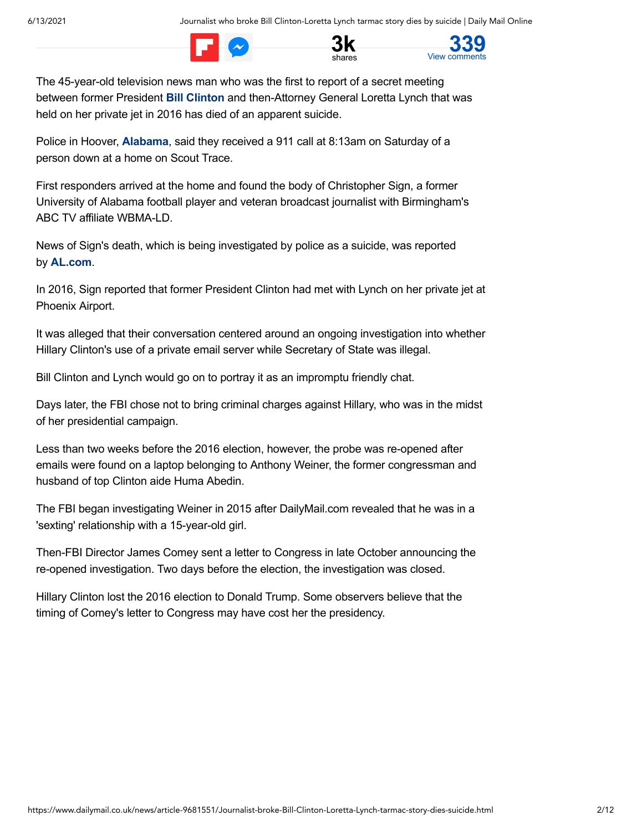





The 45-year-old television news man who was the first to report of a secret meeting between former President **Bill [Clinton](https://www.dailymail.co.uk/news/bill-clinton/index.html)** and then-Attorney General Loretta Lynch that was held on her private jet in 2016 has died of an apparent suicide.

Police in Hoover, **[Alabama](https://www.dailymail.co.uk/news/alabama/index.html)**, said they received a 911 call at 8:13am on Saturday of a person down at a home on Scout Trace.

First responders arrived at the home and found the body of Christopher Sign, a former University of Alabama football player and veteran broadcast journalist with Birmingham's ABC TV affiliate WBMA-LD.

News of Sign's death, which is being investigated by police as a suicide, was reported by **[AL.com](https://www.al.com/news/2021/06/christopher-sign-birmingham-tv-anchor-former-alabama-football-player-dead-in-apparent-suicide.html)**.

In 2016, Sign reported that former President Clinton had met with Lynch on her private jet at Phoenix Airport.

It was alleged that their conversation centered around an ongoing investigation into whether Hillary Clinton's use of a private email server while Secretary of State was illegal.

Bill Clinton and Lynch would go on to portray it as an impromptu friendly chat.

Days later, the FBI chose not to bring criminal charges against Hillary, who was in the midst of her presidential campaign.

Less than two weeks before the 2016 election, however, the probe was re-opened after emails were found on a laptop belonging to Anthony Weiner, the former congressman and husband of top Clinton aide Huma Abedin.

The FBI began investigating Weiner in 2015 after DailyMail.com revealed that he was in a 'sexting' relationship with a 15-year-old girl.

Then-FBI Director James Comey sent a letter to Congress in late October announcing the re-opened investigation. Two days before the election, the investigation was closed.

Hillary Clinton lost the 2016 election to Donald Trump. Some observers believe that the timing of Comey's letter to Congress may have cost her the presidency.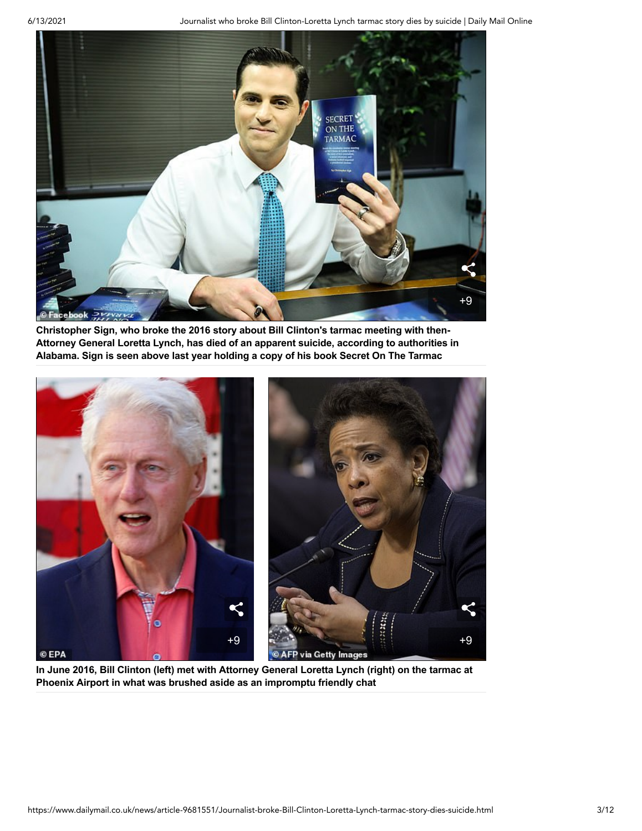

**Christopher Sign, who broke the 2016 story about Bill Clinton's tarmac meeting with then-Attorney General Loretta Lynch, has died of an apparent suicide, according to authorities in Alabama. Sign is seen above last year holding a copy of his book Secret On The Tarmac**



**In June 2016, Bill Clinton (left) met with Attorney General Loretta Lynch (right) on the tarmac at Phoenix Airport in what was brushed aside as an impromptu friendly chat**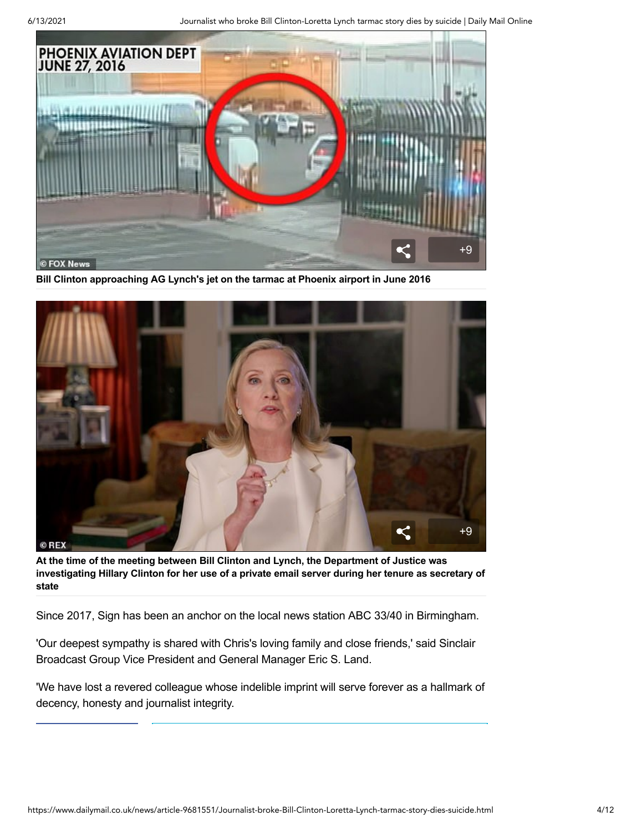

**Bill Clinton approaching AG Lynch's jet on the tarmac at Phoenix airport in June 2016**



**At the time of the meeting between Bill Clinton and Lynch, the Department of Justice was investigating Hillary Clinton for her use of a private email server during her tenure as secretary of state**

Since 2017, Sign has been an anchor on the local news station ABC 33/40 in Birmingham.

'Our deepest sympathy is shared with Chris's loving family and close friends,' said Sinclair Broadcast Group Vice President and General Manager Eric S. Land.

'We have lost a revered colleague whose indelible imprint will serve forever as a hallmark of decency, honesty and journalist integrity.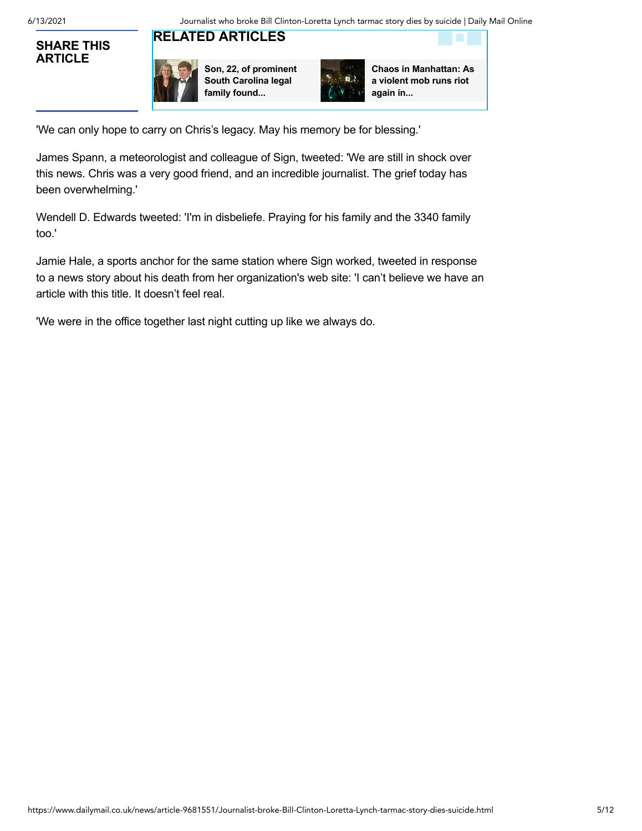**SHARE THIS ARTICLE**

6/13/2021 Journalist who broke Bill Clinton-Loretta Lynch tarmac story dies by suicide | Daily Mail Online

## **RELATED [ARTICLES](https://www.dailymail.co.uk/news/article-9681551/Journalist-broke-Bill-Clinton-Loretta-Lynch-tarmac-story-dies-suicide.html#)**



**Son, 22, of [prominent](https://www.dailymail.co.uk/news/article-9680391/Son-powerful-family-target-shooting-familys-hunting-lodge-killed-mom.html) South Carolina legal family found...**



**Chaos in [Manhattan:](https://www.dailymail.co.uk/news/article-9680831/Man-raves-blighting-Washington-Square-Park-NYC-says-fed-residents-move.html) As a violent mob runs riot again in...**

'We can only hope to carry on Chris's legacy. May his memory be for blessing.'

James Spann, a meteorologist and colleague of Sign, tweeted: 'We are still in shock over this news. Chris was a very good friend, and an incredible journalist. The grief today has been overwhelming.'

Wendell D. Edwards tweeted: 'I'm in disbeliefe. Praying for his family and the 3340 family too.'

Jamie Hale, a sports anchor for the same station where Sign worked, tweeted in response to a news story about his death from her organization's web site: 'I can't believe we have an article with this title. It doesn't feel real.

'We were in the office together last night cutting up like we always do.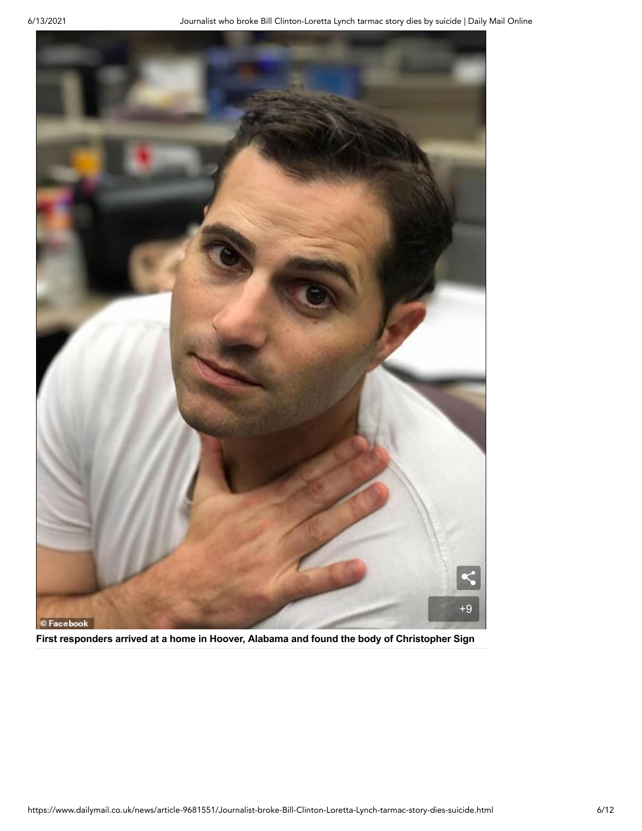

**First responders arrived at a home in Hoover, Alabama and found the body of Christopher Sign**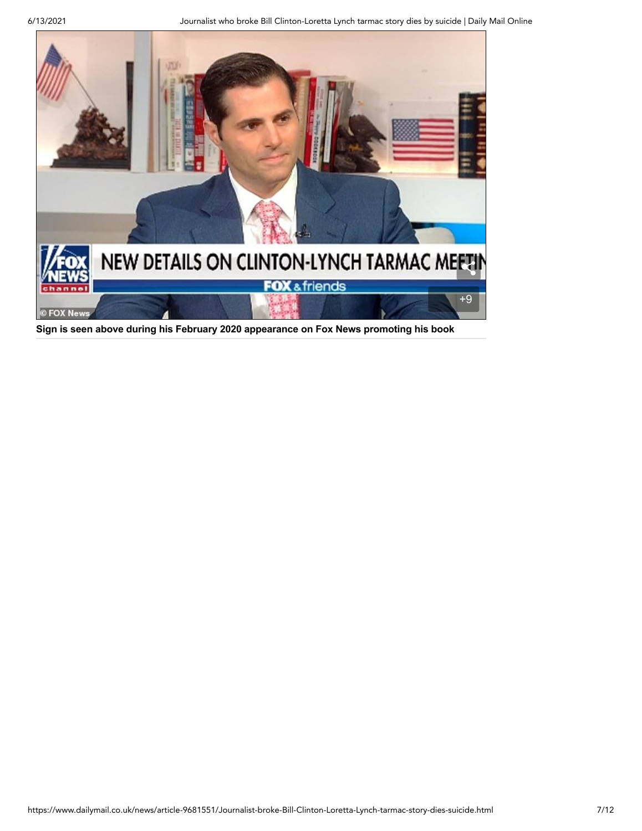

**Sign is seen above during his February 2020 appearance on Fox News promoting his book**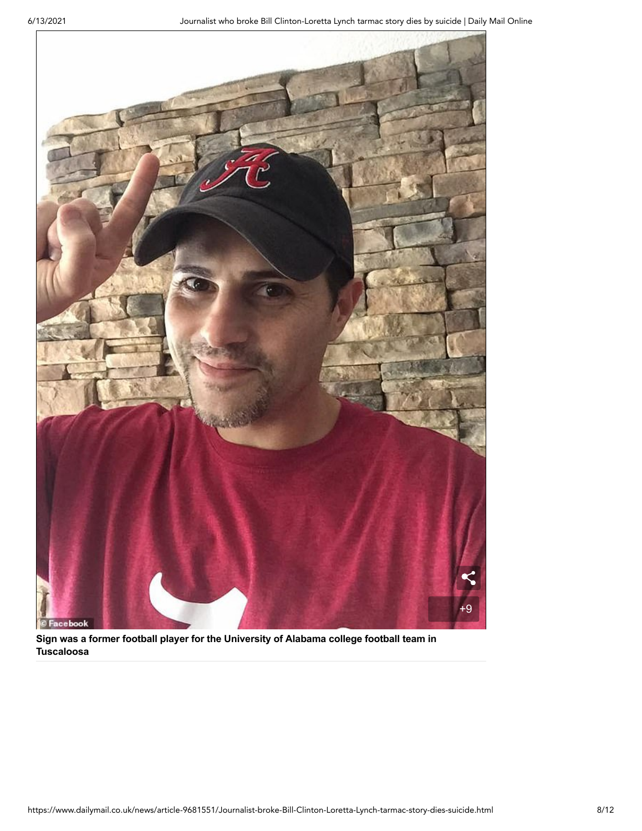

**Sign was a former football player for the University of Alabama college football team in Tuscaloosa**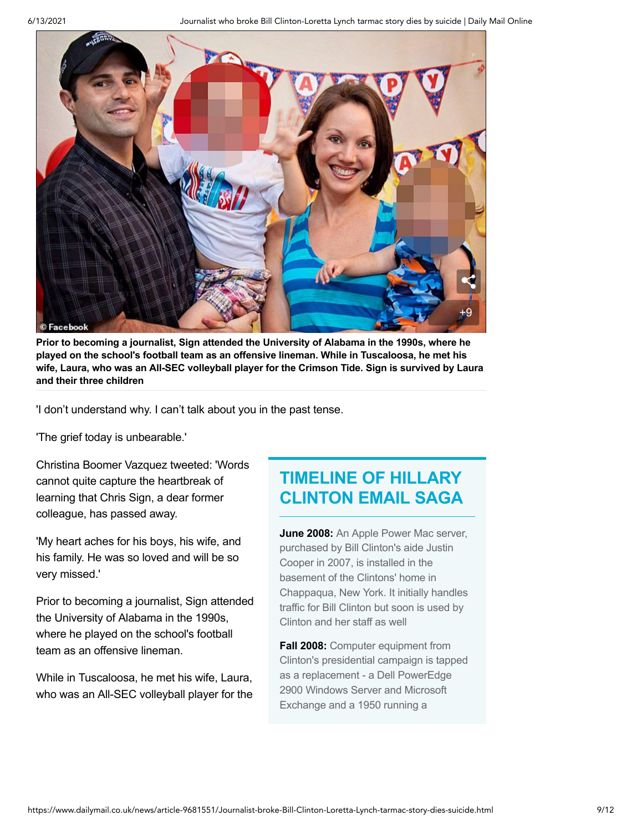

**Prior to becoming a journalist, Sign attended the University of Alabama in the 1990s, where he played on the school's football team as an offensive lineman. While in Tuscaloosa, he met his wife, Laura, who was an All-SEC volleyball player for the Crimson Tide. Sign is survived by Laura and their three children**

'I don't understand why. I can't talk about you in the past tense.

'The grief today is unbearable.'

Christina Boomer Vazquez tweeted: 'Words cannot quite capture the heartbreak of learning that Chris Sign, a dear former colleague, has passed away.

'My heart aches for his boys, his wife, and his family. He was so loved and will be so very missed.'

Prior to becoming a journalist, Sign attended the University of Alabama in the 1990s, where he played on the school's football team as an offensive lineman.

While in Tuscaloosa, he met his wife, Laura, who was an All-SEC volleyball player for the

## **TIMELINE OF HILLARY CLINTON EMAIL SAGA**

**June 2008:** An Apple Power Mac server, purchased by Bill Clinton's aide Justin Cooper in 2007, is installed in the basement of the Clintons' home in Chappaqua, New York. It initially handles traffic for Bill Clinton but soon is used by Clinton and her staff as well

**Fall 2008:** Computer equipment from Clinton's presidential campaign is tapped as a replacement - a Dell PowerEdge 2900 Windows Server and Microsoft Exchange and a 1950 running a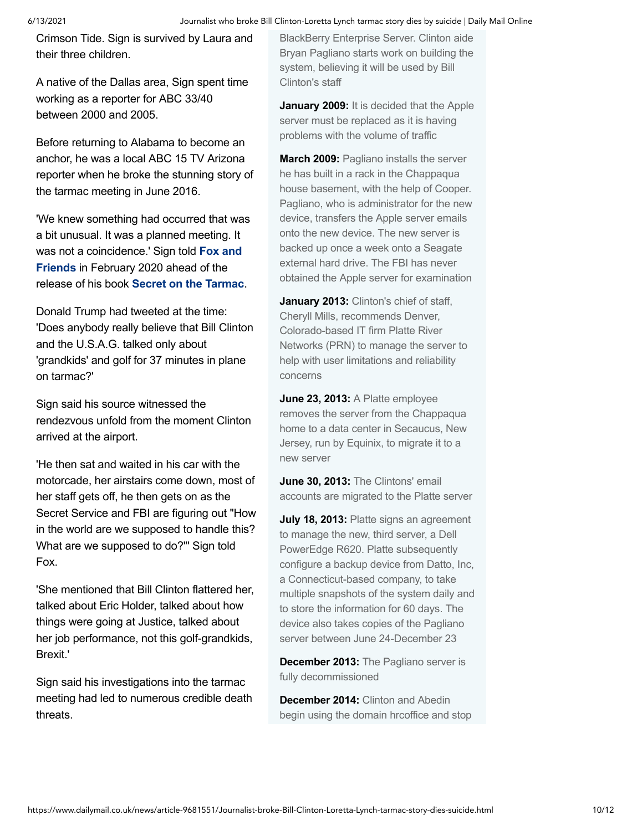Crimson Tide. Sign is survived by Laura and their three children.

A native of the Dallas area, Sign spent time working as a reporter for ABC 33/40 between 2000 and 2005.

Before returning to Alabama to become an anchor, he was a local ABC 15 TV Arizona reporter when he broke the stunning story of the tarmac meeting in June 2016.

'We knew something had occurred that was a bit unusual. It was a planned meeting. It was not a [coincidence.'](https://www.foxnews.com/media/loretta-lynch-bill-clinton-tarmac-meeting-new-book) Sign told **Fox and Friends** in February 2020 ahead of the release of his book **Secret on the [Tarmac](https://www.amazon.com/Secret-Tarmac-Christopher-Sign/dp/B0844XVN3B/ref=sr_1_1?dchild=1&keywords=the+secret+on+the+tarmac&qid=1623584318&sr=8-1)**.

Donald Trump had tweeted at the time: 'Does anybody really believe that Bill Clinton and the U.S.A.G. talked only about 'grandkids' and golf for 37 minutes in plane on tarmac?'

Sign said his source witnessed the rendezvous unfold from the moment Clinton arrived at the airport.

'He then sat and waited in his car with the motorcade, her airstairs come down, most of her staff gets off, he then gets on as the Secret Service and FBI are figuring out "How in the world are we supposed to handle this? What are we supposed to do?"' Sign told Fox.

'She mentioned that Bill Clinton flattered her, talked about Eric Holder, talked about how things were going at Justice, talked about her job performance, not this golf-grandkids, Brexit.'

Sign said his investigations into the tarmac meeting had led to numerous credible death threats.

BlackBerry Enterprise Server. Clinton aide Bryan Pagliano starts work on building the system, believing it will be used by Bill Clinton's staff

**January 2009:** It is decided that the Apple server must be replaced as it is having problems with the volume of traffic

**March 2009:** Pagliano installs the server he has built in a rack in the Chappaqua house basement, with the help of Cooper. Pagliano, who is administrator for the new device, transfers the Apple server emails onto the new device. The new server is backed up once a week onto a Seagate external hard drive. The FBI has never obtained the Apple server for examination

**January 2013:** Clinton's chief of staff, Cheryll Mills, recommends Denver, Colorado-based IT firm Platte River Networks (PRN) to manage the server to help with user limitations and reliability concerns

**June 23, 2013:** A Platte employee removes the server from the Chappaqua home to a data center in Secaucus, New Jersey, run by Equinix, to migrate it to a new server

**June 30, 2013:** The Clintons' email accounts are migrated to the Platte server

**July 18, 2013:** Platte signs an agreement to manage the new, third server, a Dell PowerEdge R620. Platte subsequently configure a backup device from Datto, Inc, a Connecticut-based company, to take multiple snapshots of the system daily and to store the information for 60 days. The device also takes copies of the Pagliano server between June 24-December 23

**December 2013:** The Pagliano server is fully decommissioned

**December 2014:** Clinton and Abedin begin using the domain hrcoffice and stop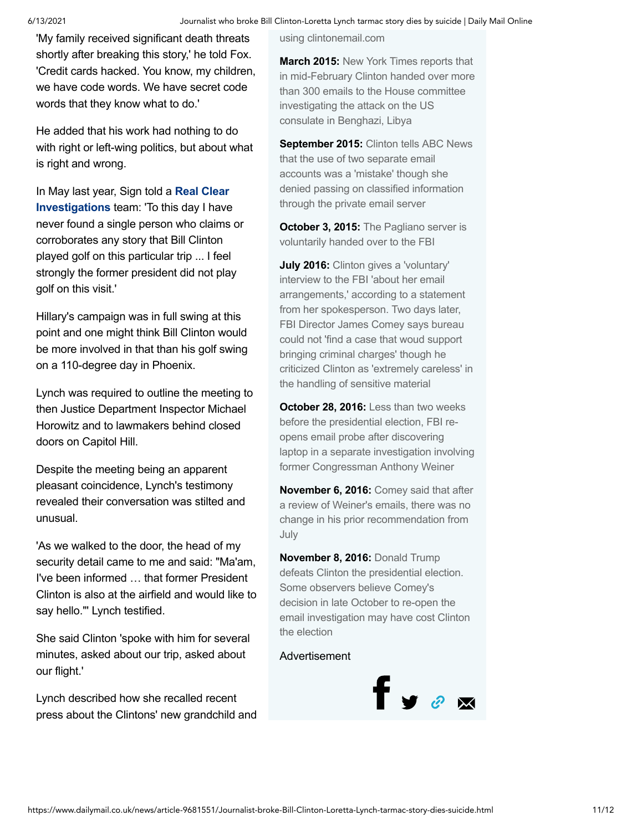'My family received significant death threats shortly after breaking this story,' he told Fox. 'Credit cards hacked. You know, my children, we have code words. We have secret code words that they know what to do.'

He added that his work had nothing to do with right or left-wing politics, but about what is right and wrong.

In May last year, Sign told a **Real Clear [Investigations](https://www.realclearpolitics.com/articles/2019/05/04/when_loretta_met_bill_on_the_tarmac_140244.html)** team: 'To this day I have never found a single person who claims or corroborates any story that Bill Clinton played golf on this particular trip ... I feel strongly the former president did not play golf on this visit.'

Hillary's campaign was in full swing at this point and one might think Bill Clinton would be more involved in that than his golf swing on a 110-degree day in Phoenix.

Lynch was required to outline the meeting to then Justice Department Inspector Michael Horowitz and to lawmakers behind closed doors on Capitol Hill.

Despite the meeting being an apparent pleasant coincidence, Lynch's testimony revealed their conversation was stilted and unusual.

'As we walked to the door, the head of my security detail came to me and said: "Ma'am, I've been informed … that former President Clinton is also at the airfield and would like to say hello."' Lynch testified.

She said Clinton 'spoke with him for several minutes, asked about our trip, asked about our flight.'

Lynch described how she recalled recent press about the Clintons' new grandchild and using clintonemail.com

**March 2015:** New York Times reports that in mid-February Clinton handed over more than 300 emails to the House committee investigating the attack on the US consulate in Benghazi, Libya

**September 2015:** Clinton tells ABC News that the use of two separate email accounts was a 'mistake' though she denied passing on classified information through the private email server

**October 3, 2015:** The Pagliano server is voluntarily handed over to the FBI

**July 2016:** Clinton gives a 'voluntary' interview to the FBI 'about her email arrangements,' according to a statement from her spokesperson. Two days later, FBI Director James Comey says bureau could not 'find a case that woud support bringing criminal charges' though he criticized Clinton as 'extremely careless' in the handling of sensitive material

**October 28, 2016:** Less than two weeks before the presidential election, FBI reopens email probe after discovering laptop in a separate investigation involving former Congressman Anthony Weiner

**November 6, 2016:** Comey said that after a review of Weiner's emails, there was no change in his prior recommendation from July

**November 8, 2016:** Donald Trump defeats Clinton the presidential election. Some observers believe Comey's decision in late October to re-open the email investigation may have cost Clinton the election

Advertisement